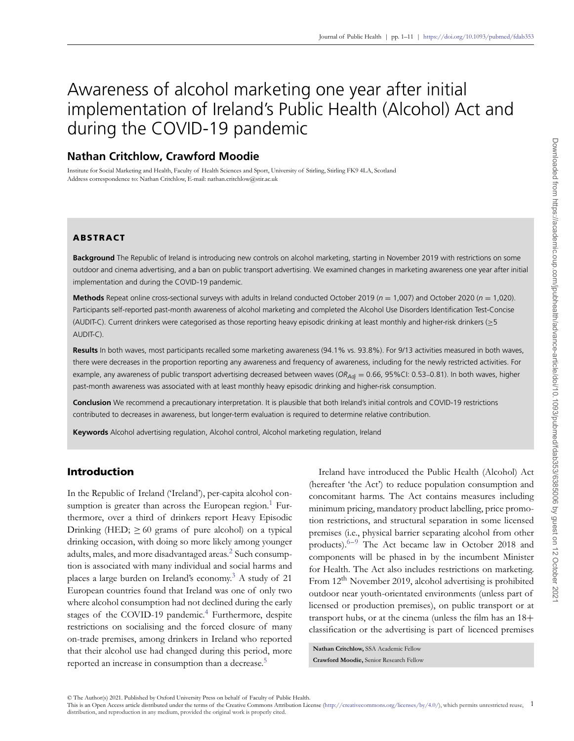# Awareness of alcohol marketing one year after initial implementation of Ireland's Public Health (Alcohol) Act and during the COVID-19 pandemic

# **Nathan Critchlow, Crawford Moodie**

Institute for Social Marketing and Health, Faculty of Health Sciences and Sport, University of Stirling, Stirling FK9 4LA, Scotland Address correspondence to: Nathan Critchlow, E-mail: nathan.critchlow@stir.ac.uk

## **ABSTRACT**

**Background** The Republic of Ireland is introducing new controls on alcohol marketing, starting in November 2019 with restrictions on some outdoor and cinema advertising, and a ban on public transport advertising. We examined changes in marketing awareness one year after initial implementation and during the COVID-19 pandemic.

**Methods** Repeat online cross-sectional surveys with adults in Ireland conducted October 2019 (*n* = 1,007) and October 2020 (*n* = 1,020). Participants self-reported past-month awareness of alcohol marketing and completed the Alcohol Use Disorders Identification Test-Concise (AUDIT-C). Current drinkers were categorised as those reporting heavy episodic drinking at least monthly and higher-risk drinkers (≥5 AUDIT-C).

Results In both waves, most participants recalled some marketing awareness (94.1% vs. 93.8%). For 9/13 activities measured in both waves, there were decreases in the proportion reporting any awareness and frequency of awareness, including for the newly restricted activities. For example, any awareness of public transport advertising decreased between waves (OR<sub>Adj</sub> = 0.66, 95%CI: 0.53–0.81). In both waves, higher past-month awareness was associated with at least monthly heavy episodic drinking and higher-risk consumption.

**Conclusion** We recommend a precautionary interpretation. It is plausible that both Ireland's initial controls and COVID-19 restrictions contributed to decreases in awareness, but longer-term evaluation is required to determine relative contribution.

**Keywords** Alcohol advertising regulation, Alcohol control, Alcohol marketing regulation, Ireland

## **Introduction**

In the Republic of Ireland ('Ireland'), per-capita alcohol consumption is greater than across the European region.<sup>1</sup> Furthermore, over a third of drinkers report Heavy Episodic Drinking (HED;  $\geq 60$  grams of pure alcohol) on a typical drinking occasion, with doing so more likely among younger adults, males, and more disadvantaged areas.<sup>[2](#page-8-1)</sup> Such consumption is associated with many individual and social harms and places a large burden on Ireland's economy.<sup>3</sup> A study of 21 European countries found that Ireland was one of only two where alcohol consumption had not declined during the early stages of the COVID-19 pandemic.<sup>4</sup> Furthermore, despite restrictions on socialising and the forced closure of many on-trade premises, among drinkers in Ireland who reported that their alcohol use had changed during this period, more reported an increase in consumption than a decrease.<sup>5</sup>

Ireland have introduced the Public Health (Alcohol) Act (hereafter 'the Act') to reduce population consumption and concomitant harms. The Act contains measures including minimum pricing, mandatory product labelling, price promotion restrictions, and structural separation in some licensed premises (i.e., physical barrier separating alcohol from other products).<sup>6–[9](#page-8-6)</sup> The Act became law in October 2018 and components will be phased in by the incumbent Minister for Health. The Act also includes restrictions on marketing. From 12<sup>th</sup> November 2019, alcohol advertising is prohibited outdoor near youth-orientated environments (unless part of licensed or production premises), on public transport or at transport hubs, or at the cinema (unless the film has an 18+ classification or the advertising is part of licenced premises

**Nathan Critchlow,** SSA Academic Fellow **Crawford Moodie,** Senior Research Fellow

© The Author(s) 2021. Published by Oxford University Press on behalf of Faculty of Public Health.<br>This is an Open Access article distributed under the terms of the Creative Commons Attribution License (http://creativecommo distribution, and reproduction in any medium, provided the original work is properly cited.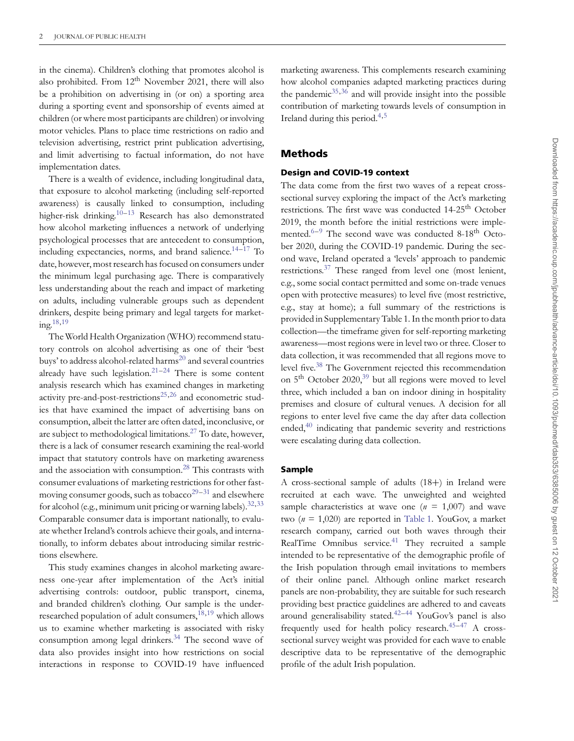in the cinema). Children's clothing that promotes alcohol is also prohibited. From  $12<sup>th</sup>$  November 2021, there will also be a prohibition on advertising in (or on) a sporting area during a sporting event and sponsorship of events aimed at children (or where most participants are children) or involving motor vehicles. Plans to place time restrictions on radio and television advertising, restrict print publication advertising, and limit advertising to factual information, do not have implementation dates.

There is a wealth of evidence, including longitudinal data, that exposure to alcohol marketing (including self-reported awareness) is causally linked to consumption, including higher-risk drinking.<sup>10–[13](#page-8-8)</sup> Research has also demonstrated how alcohol marketing influences a network of underlying psychological processes that are antecedent to consumption, including expectancies, norms, and brand salience. $14-17$  $14-17$  To date, however, most research has focused on consumers under the minimum legal purchasing age. There is comparatively less understanding about the reach and impact of marketing on adults, including vulnerable groups such as dependent drinkers, despite being primary and legal targets for marketing. $18,19$  $18,19$ 

The World Health Organization (WHO) recommend statutory controls on alcohol advertising as one of their 'best buys' to address alcohol-related harms<sup>[20](#page-9-4)</sup> and several countries already have such legislation. $21-24$  $21-24$  There is some content analysis research which has examined changes in marketing activity pre-and-post-restrictions<sup>25,[26](#page-9-8)</sup> and econometric studies that have examined the impact of advertising bans on consumption, albeit the latter are often dated, inconclusive, or are subject to methodological limitations.<sup>27</sup> To date, however, there is a lack of consumer research examining the real-world impact that statutory controls have on marketing awareness and the association with consumption.[28](#page-9-10) This contrasts with consumer evaluations of marketing restrictions for other fast-moving consumer goods, such as tobacco<sup>[29–](#page-9-11)[31](#page-9-12)</sup> and elsewhere for alcohol (e.g., minimum unit pricing or warning labels).  $32,33$  $32,33$ Comparable consumer data is important nationally, to evaluate whether Ireland's controls achieve their goals, and internationally, to inform debates about introducing similar restrictions elsewhere.

This study examines changes in alcohol marketing awareness one-year after implementation of the Act's initial advertising controls: outdoor, public transport, cinema, and branded children's clothing. Our sample is the underresearched population of adult consumers, $^{18,19}$  $^{18,19}$  $^{18,19}$  $^{18,19}$  which allows us to examine whether marketing is associated with risky consumption among legal drinkers.<sup>34</sup> The second wave of data also provides insight into how restrictions on social interactions in response to COVID-19 have influenced

marketing awareness. This complements research examining how alcohol companies adapted marketing practices during the pandemic $35,36$  $35,36$  and will provide insight into the possible contribution of marketing towards levels of consumption in Ireland during this period. $4,5$  $4,5$ 

## **Methods**

## **Design and COVID-19 context**

The data come from the first two waves of a repeat crosssectional survey exploring the impact of the Act's marketing restrictions. The first wave was conducted 14-25<sup>th</sup> October 2019, the month before the initial restrictions were implemented. $6-9$  $6-9$  The second wave was conducted 8-18<sup>th</sup> October 2020, during the COVID-19 pandemic. During the second wave, Ireland operated a 'levels' approach to pandemic restrictions.<sup>37</sup> These ranged from level one (most lenient, e.g., some social contact permitted and some on-trade venues open with protective measures) to level five (most restrictive, e.g., stay at home); a full summary of the restrictions is provided in Supplementary Table 1. In the month prior to data collection—the timeframe given for self-reporting marketing awareness—most regions were in level two or three. Closer to data collection, it was recommended that all regions move to level five.<sup>38</sup> The Government rejected this recommendation on  $5<sup>th</sup>$  October 2020,<sup>39</sup> but all regions were moved to level three, which included a ban on indoor dining in hospitality premises and closure of cultural venues. A decision for all regions to enter level five came the day after data collection ended,<sup>40</sup> indicating that pandemic severity and restrictions were escalating during data collection.

## **Sample**

A cross-sectional sample of adults (18+) in Ireland were recruited at each wave. The unweighted and weighted sample characteristics at wave one ( $n = 1,007$ ) and wave two (*n* = 1,020) are reported in [Table 1.](#page-2-0) YouGov, a market research company, carried out both waves through their RealTime Omnibus service. $41$  They recruited a sample intended to be representative of the demographic profile of the Irish population through email invitations to members of their online panel. Although online market research panels are non-probability, they are suitable for such research providing best practice guidelines are adhered to and caveats around generalisability stated. $42-44$  $42-44$  YouGov's panel is also frequently used for health policy research. $45-47$  $45-47$  A crosssectional survey weight was provided for each wave to enable descriptive data to be representative of the demographic profile of the adult Irish population.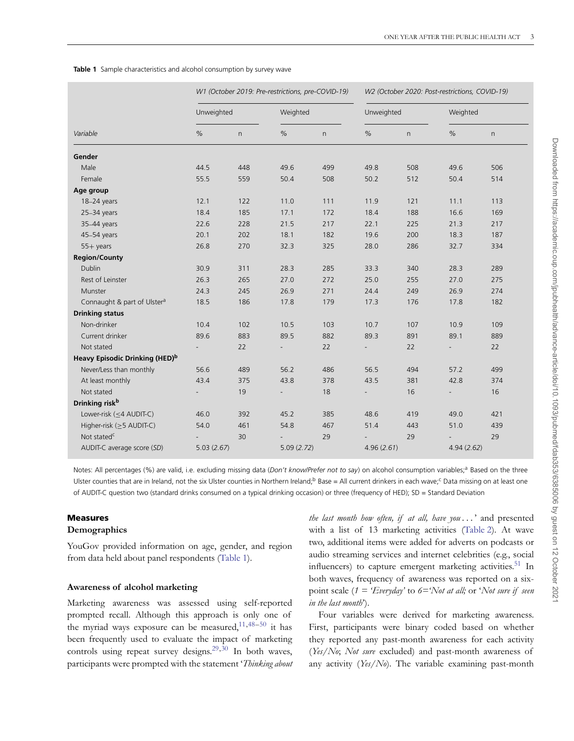#### <span id="page-2-0"></span>**Table 1** Sample characteristics and alcohol consumption by survey wave

|                                            |            |     | W1 (October 2019: Pre-restrictions, pre-COVID-19) |              | W2 (October 2020: Post-restrictions, COVID-19) |              |            |          |
|--------------------------------------------|------------|-----|---------------------------------------------------|--------------|------------------------------------------------|--------------|------------|----------|
|                                            | Unweighted |     |                                                   | Weighted     |                                                | Unweighted   |            | Weighted |
| Variable                                   | $\%$       | n   | $\%$                                              | $\mathsf{n}$ | $\%$                                           | $\mathsf{n}$ | $\%$       | n        |
| Gender                                     |            |     |                                                   |              |                                                |              |            |          |
| Male                                       | 44.5       | 448 | 49.6                                              | 499          | 49.8                                           | 508          | 49.6       | 506      |
| Female                                     | 55.5       | 559 | 50.4                                              | 508          | 50.2                                           | 512          | 50.4       | 514      |
| Age group                                  |            |     |                                                   |              |                                                |              |            |          |
| 18-24 years                                | 12.1       | 122 | 11.0                                              | 111          | 11.9                                           | 121          | 11.1       | 113      |
| 25-34 years                                | 18.4       | 185 | 17.1                                              | 172          | 18.4                                           | 188          | 16.6       | 169      |
| 35-44 years                                | 22.6       | 228 | 21.5                                              | 217          | 22.1                                           | 225          | 21.3       | 217      |
| 45-54 years                                | 20.1       | 202 | 18.1                                              | 182          | 19.6                                           | 200          | 18.3       | 187      |
| $55+$ years                                | 26.8       | 270 | 32.3                                              | 325          | 28.0                                           | 286          | 32.7       | 334      |
| <b>Region/County</b>                       |            |     |                                                   |              |                                                |              |            |          |
| <b>Dublin</b>                              | 30.9       | 311 | 28.3                                              | 285          | 33.3                                           | 340          | 28.3       | 289      |
| Rest of Leinster                           | 26.3       | 265 | 27.0                                              | 272          | 25.0                                           | 255          | 27.0       | 275      |
| Munster                                    | 24.3       | 245 | 26.9                                              | 271          | 24.4                                           | 249          | 26.9       | 274      |
| Connaught & part of Ulster <sup>a</sup>    | 18.5       | 186 | 17.8                                              | 179          | 17.3                                           | 176          | 17.8       | 182      |
| <b>Drinking status</b>                     |            |     |                                                   |              |                                                |              |            |          |
| Non-drinker                                | 10.4       | 102 | 10.5                                              | 103          | 10.7                                           | 107          | 10.9       | 109      |
| Current drinker                            | 89.6       | 883 | 89.5                                              | 882          | 89.3                                           | 891          | 89.1       | 889      |
| Not stated                                 |            | 22  |                                                   | 22           |                                                | 22           | Ξ.         | 22       |
| Heavy Episodic Drinking (HED) <sup>b</sup> |            |     |                                                   |              |                                                |              |            |          |
| Never/Less than monthly                    | 56.6       | 489 | 56.2                                              | 486          | 56.5                                           | 494          | 57.2       | 499      |
| At least monthly                           | 43.4       | 375 | 43.8                                              | 378          | 43.5                                           | 381          | 42.8       | 374      |
| Not stated                                 |            | 19  | $\overline{\phantom{0}}$                          | 18           | $\qquad \qquad \blacksquare$                   | 16           | ÷,         | 16       |
| Drinking risk <sup>b</sup>                 |            |     |                                                   |              |                                                |              |            |          |
| Lower-risk $(\leq 4$ AUDIT-C)              | 46.0       | 392 | 45.2                                              | 385          | 48.6                                           | 419          | 49.0       | 421      |
| Higher-risk (>5 AUDIT-C)                   | 54.0       | 461 | 54.8                                              | 467          | 51.4                                           | 443          | 51.0       | 439      |
| Not stated <sup>c</sup>                    |            | 30  |                                                   | 29           |                                                | 29           |            | 29       |
| AUDIT-C average score (SD)                 | 5.03(2.67) |     | 5.09(2.72)                                        |              | 4.96(2.61)                                     |              | 4.94(2.62) |          |

Notes: All percentages (%) are valid, i.e. excluding missing data (Don't know/Prefer not to say) on alcohol consumption variables;<sup>a</sup> Based on the three Ulster counties that are in Ireland, not the six Ulster counties in Northern Ireland;<sup>b</sup> Base = All current drinkers in each wave;<sup>c</sup> Data missing on at least one of AUDIT-C question two (standard drinks consumed on a typical drinking occasion) or three (frequency of HED); SD = Standard Deviation

#### **Measures**

#### **Demographics**

YouGov provided information on age, gender, and region from data held about panel respondents [\(Table 1\)](#page-2-0).

#### **Awareness of alcohol marketing**

Marketing awareness was assessed using self-reported prompted recall. Although this approach is only one of the myriad ways exposure can be measured,  $11,48-50$  $11,48-50$  it has been frequently used to evaluate the impact of marketing controls using repeat survey designs.<sup>29,[30](#page-9-24)</sup> In both waves, participants were prompted with the statement '*Thinking about* *the last month how often, if at all, have you ...* ' and presented with a list of 13 marketing activities [\(Table 2\)](#page-3-0). At wave two, additional items were added for adverts on podcasts or audio streaming services and internet celebrities (e.g., social influencers) to capture emergent marketing activities.<sup>51</sup> In both waves, frequency of awareness was reported on a sixpoint scale (*1 = 'Everyday'* to *6='Not at all;* or '*Not sure if seen in the last month*').

Four variables were derived for marketing awareness. First, participants were binary coded based on whether they reported any past-month awareness for each activity (*Yes/No*; *Not sure* excluded) and past-month awareness of any activity (*Yes/No*). The variable examining past-month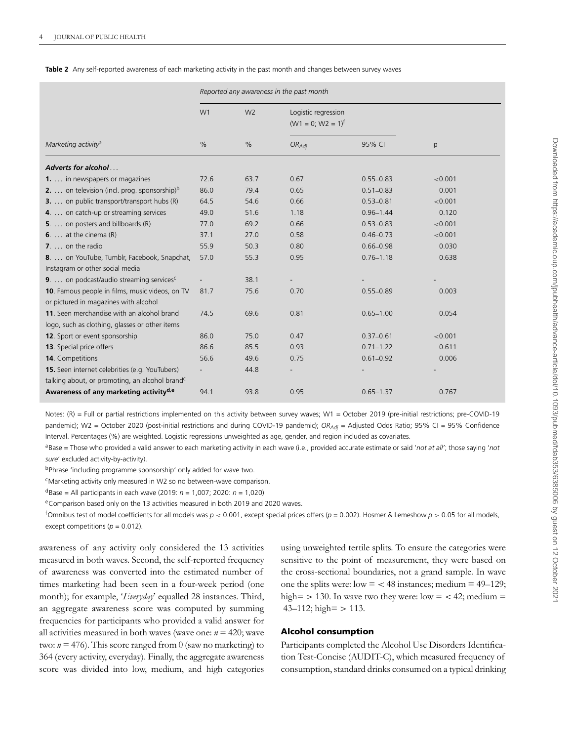<span id="page-3-0"></span>

|  |  | <b>Table 2</b> Any self-reported awareness of each marketing activity in the past month and changes between survey wayes |  |  |  |  |  |  |
|--|--|--------------------------------------------------------------------------------------------------------------------------|--|--|--|--|--|--|
|--|--|--------------------------------------------------------------------------------------------------------------------------|--|--|--|--|--|--|

|                                                                                          |      |                | Reported any awareness in the past month      |               |         |  |  |  |  |  |
|------------------------------------------------------------------------------------------|------|----------------|-----------------------------------------------|---------------|---------|--|--|--|--|--|
|                                                                                          | W1   | W <sub>2</sub> | Logistic regression<br>$(W1 = 0; W2 = 1)^{f}$ |               |         |  |  |  |  |  |
| Marketing activity <sup>a</sup>                                                          | $\%$ | $\%$           | $OR_{Adj}$                                    | 95% CI        | p       |  |  |  |  |  |
| Adverts for alcohol                                                                      |      |                |                                               |               |         |  |  |  |  |  |
| <b>1.</b> in newspapers or magazines                                                     | 72.6 | 63.7           | 0.67                                          | $0.55 - 0.83$ | < 0.001 |  |  |  |  |  |
| <b>2.</b> on television (incl. prog. sponsorship) $b$                                    | 86.0 | 79.4           | 0.65                                          | $0.51 - 0.83$ | 0.001   |  |  |  |  |  |
| <b>3.</b> on public transport/transport hubs (R)                                         | 64.5 | 54.6           | 0.66                                          | $0.53 - 0.81$ | < 0.001 |  |  |  |  |  |
| 4. on catch-up or streaming services                                                     | 49.0 | 51.6           | 1.18                                          | $0.96 - 1.44$ | 0.120   |  |  |  |  |  |
| <b>5</b> . on posters and billboards $(R)$                                               | 77.0 | 69.2           | 0.66                                          | $0.53 - 0.83$ | < 0.001 |  |  |  |  |  |
| 6. $\dots$ at the cinema $(R)$                                                           | 37.1 | 27.0           | 0.58                                          | $0.46 - 0.73$ | < 0.001 |  |  |  |  |  |
| $7. \ldots$ on the radio                                                                 | 55.9 | 50.3           | 0.80                                          | $0.66 - 0.98$ | 0.030   |  |  |  |  |  |
| 8.  on YouTube, Tumblr, Facebook, Snapchat,                                              | 57.0 | 55.3           | 0.95                                          | $0.76 - 1.18$ | 0.638   |  |  |  |  |  |
| Instagram or other social media                                                          |      |                |                                               |               |         |  |  |  |  |  |
| 9. on podcast/audio streaming services <sup>c</sup>                                      |      | 38.1           |                                               |               |         |  |  |  |  |  |
| 10. Famous people in films, music videos, on TV<br>or pictured in magazines with alcohol | 81.7 | 75.6           | 0.70                                          | $0.55 - 0.89$ | 0.003   |  |  |  |  |  |
| 11. Seen merchandise with an alcohol brand                                               | 74.5 | 69.6           | 0.81                                          | $0.65 - 1.00$ | 0.054   |  |  |  |  |  |
| logo, such as clothing, glasses or other items                                           |      |                |                                               |               |         |  |  |  |  |  |
| 12. Sport or event sponsorship                                                           | 86.0 | 75.0           | 0.47                                          | $0.37 - 0.61$ | < 0.001 |  |  |  |  |  |
| 13. Special price offers                                                                 | 86.6 | 85.5           | 0.93                                          | $0.71 - 1.22$ | 0.611   |  |  |  |  |  |
| <b>14.</b> Competitions                                                                  | 56.6 | 49.6           | 0.75                                          | $0.61 - 0.92$ | 0.006   |  |  |  |  |  |
| 15. Seen internet celebrities (e.g. YouTubers)                                           |      | 44.8           |                                               |               |         |  |  |  |  |  |
| talking about, or promoting, an alcohol brand <sup>c</sup>                               |      |                |                                               |               |         |  |  |  |  |  |
| Awareness of any marketing activity <sup>d,e</sup>                                       | 94.1 | 93.8           | 0.95                                          | $0.65 - 1.37$ | 0.767   |  |  |  |  |  |

Notes: (R) = Full or partial restrictions implemented on this activity between survey waves; W1 = October 2019 (pre-initial restrictions; pre-COVID-19 pandemic); W2 = October 2020 (post-initial restrictions and during COVID-19 pandemic);  $OR_{Adi} =$  Adjusted Odds Ratio; 95% CI = 95% Confidence Interval. Percentages (%) are weighted. Logistic regressions unweighted as age, gender, and region included as covariates.

aBase = Those who provided a valid answer to each marketing activity in each wave (i.e., provided accurate estimate or said '*not at all'*; those saying '*not sure*' excluded activity-by-activity).

bPhrase 'including programme sponsorship' only added for wave two.

cMarketing activity only measured in W2 so no between-wave comparison.

dBase = All participants in each wave (2019: *n* = 1,007; 2020: *n* = 1,020)

eComparison based only on the 13 activities measured in both 2019 and 2020 waves.

f Omnibus test of model coefficients for all models was *p <* 0.001, except special prices offers (*p* = 0.002). Hosmer & Lemeshow *p >* 0.05 for all models, except competitions ( $p = 0.012$ ).

awareness of any activity only considered the 13 activities measured in both waves. Second, the self-reported frequency of awareness was converted into the estimated number of times marketing had been seen in a four-week period (one month); for example, '*Everyday*' equalled 28 instances. Third, an aggregate awareness score was computed by summing frequencies for participants who provided a valid answer for all activities measured in both waves (wave one: *n* = 420; wave two:  $n = 476$ ). This score ranged from 0 (saw no marketing) to 364 (every activity, everyday). Finally, the aggregate awareness score was divided into low, medium, and high categories

using unweighted tertile splits. To ensure the categories were sensitive to the point of measurement, they were based on the cross-sectional boundaries, not a grand sample. In wave one the splits were:  $low = < 48$  instances; medium  $= 49-129$ ; high=  $> 130$ . In wave two they were: low =  $<$  42; medium = 43–112; high= *>* 113.

## **Alcohol consumption**

Participants completed the Alcohol Use Disorders Identification Test-Concise (AUDIT-C), which measured frequency of consumption, standard drinks consumed on a typical drinking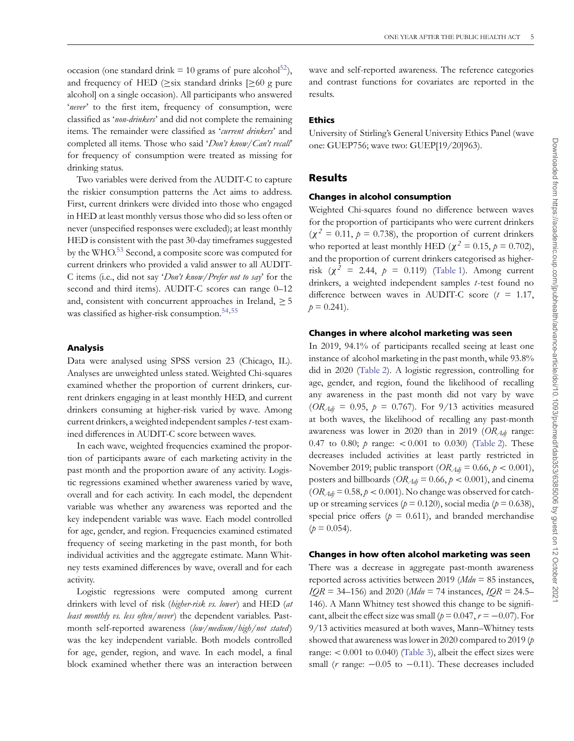occasion (one standard drink = 10 grams of pure alcohol<sup>52</sup>), and frequency of HED ( $\geq$ six standard drinks [ $\geq$ 60 g pure alcohol] on a single occasion). All participants who answered 'never' to the first item, frequency of consumption, were classified as '*non-drinkers*' and did not complete the remaining items. The remainder were classified as '*current drinkers*' and completed all items. Those who said '*Don't know/Can't recall'* for frequency of consumption were treated as missing for drinking status.

Two variables were derived from the AUDIT-C to capture the riskier consumption patterns the Act aims to address. First, current drinkers were divided into those who engaged in HED at least monthly versus those who did so less often or never (unspecified responses were excluded); at least monthly HED is consistent with the past 30-day timeframes suggested by the WHO.<sup>53</sup> Second, a composite score was computed for current drinkers who provided a valid answer to all AUDIT-C items (i.e., did not say '*Don't know/Prefer not to say*' for the second and third items). AUDIT-C scores can range 0-12 and, consistent with concurrent approaches in Ireland,  $\geq 5$ was classified as higher-risk consumption.<sup>54,[55](#page-10-9)</sup>

#### **Analysis**

Data were analysed using SPSS version 23 (Chicago, IL). Analyses are unweighted unless stated. Weighted Chi-squares examined whether the proportion of current drinkers, current drinkers engaging in at least monthly HED, and current drinkers consuming at higher-risk varied by wave. Among current drinkers, a weighted independent samples*t*-test examined differences in AUDIT-C score between waves.

In each wave, weighted frequencies examined the proportion of participants aware of each marketing activity in the past month and the proportion aware of any activity. Logistic regressions examined whether awareness varied by wave, overall and for each activity. In each model, the dependent variable was whether any awareness was reported and the key independent variable was wave. Each model controlled for age, gender, and region. Frequencies examined estimated frequency of seeing marketing in the past month, for both individual activities and the aggregate estimate. Mann Whitney tests examined differences by wave, overall and for each activity.

Logistic regressions were computed among current drinkers with level of risk (*higher-risk vs. lower*) and HED (*at least monthly vs. less often/never*) the dependent variables. Pastmonth self-reported awareness (*low/medium/high/not stated* ) was the key independent variable. Both models controlled for age, gender, region, and wave. In each model, a final block examined whether there was an interaction between

wave and self-reported awareness. The reference categories and contrast functions for covariates are reported in the results.

#### **Ethics**

University of Stirling's General University Ethics Panel (wave one: GUEP756; wave two: GUEP[19/20]963).

## **Results**

#### **Changes in alcohol consumption**

Weighted Chi-squares found no difference between waves for the proportion of participants who were current drinkers  $(\chi^2 = 0.11, p = 0.738)$ , the proportion of current drinkers who reported at least monthly HED ( $\chi^2 = 0.15$ ,  $p = 0.702$ ), and the proportion of current drinkers categorised as higherrisk ( $\chi^2$  = 2.44,  $p$  = 0.119) [\(Table 1\)](#page-2-0). Among current drinkers, a weighted independent samples *t*-test found no difference between waves in AUDIT-C score (*t* = 1.17,  $p = 0.241$ .

#### **Changes in where alcohol marketing was seen**

In 2019, 94.1% of participants recalled seeing at least one instance of alcohol marketing in the past month, while 93.8% did in 2020 [\(Table 2\)](#page-3-0). A logistic regression, controlling for age, gender, and region, found the likelihood of recalling any awareness in the past month did not vary by wave  $(OR_{Adj} = 0.95, p = 0.767)$ . For 9/13 activities measured at both waves, the likelihood of recalling any past-month awareness was lower in 2020 than in 2019 (*OR<sub>Adi*</sub> range: 0.47 to 0.80; *p* range: *<* 0.001 to 0.030) [\(Table 2\)](#page-3-0). These decreases included activities at least partly restricted in November 2019; public transport (*ORAdj* = 0.66, *p <* 0.001), posters and billboards ( $OR_{Adj} = 0.66$ ,  $p < 0.001$ ), and cinema  $(OR_{Adj} = 0.58, p < 0.001)$ . No change was observed for catchup or streaming services ( $p = 0.120$ ), social media ( $p = 0.638$ ), special price offers  $(p = 0.611)$ , and branded merchandise  $(p = 0.054)$ .

#### **Changes in how often alcohol marketing was seen**

There was a decrease in aggregate past-month awareness reported across activities between 2019 (*Mdn* = 85 instances, *IQR* = 34–156) and 2020 (*Mdn* = 74 instances, *IQR* = 24.5– 146). A Mann Whitney test showed this change to be significant, albeit the effect size was small ( $p = 0.047$ ,  $r = -0.07$ ). For 9/13 activities measured at both waves, Mann–Whitney tests showed that awareness was lower in 2020 compared to 2019 (*p* range: *<* 0.001 to 0.040) [\(Table 3\)](#page-5-0), albeit the effect sizes were small (*r* range: −0.05 to −0.11). These decreases included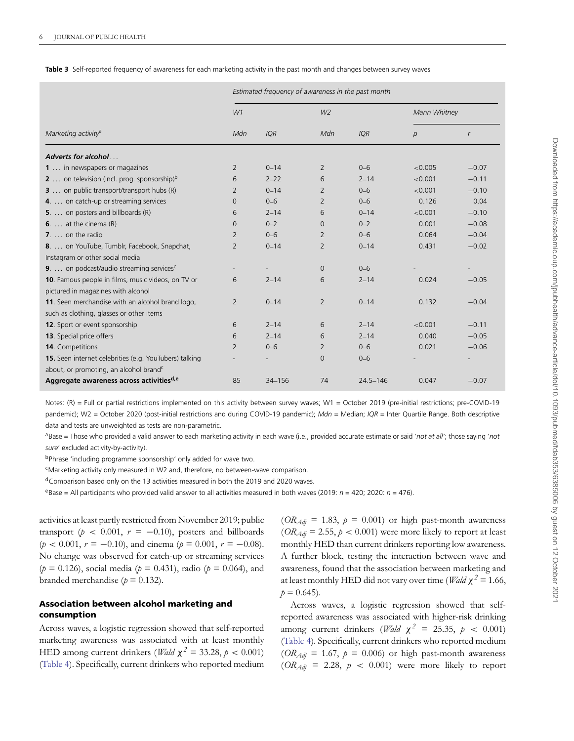<span id="page-5-0"></span>

|  |  |  |  |  |  |  | Table 3 Self-reported frequency of awareness for each marketing activity in the past month and changes between survey wayes |  |
|--|--|--|--|--|--|--|-----------------------------------------------------------------------------------------------------------------------------|--|
|--|--|--|--|--|--|--|-----------------------------------------------------------------------------------------------------------------------------|--|

|                                                                |                | Estimated frequency of awareness in the past month |                |              |                |              |  |  |  |
|----------------------------------------------------------------|----------------|----------------------------------------------------|----------------|--------------|----------------|--------------|--|--|--|
|                                                                | W1             |                                                    | W <sub>2</sub> |              | Mann Whitney   |              |  |  |  |
| Marketing activity <sup>a</sup>                                | Mdn            | <b>IQR</b>                                         | Mdn            | <b>IQR</b>   | $\overline{p}$ | $\mathsf{r}$ |  |  |  |
| Adverts for alcohol                                            |                |                                                    |                |              |                |              |  |  |  |
| 1  in newspapers or magazines                                  | 2              | $0 - 14$                                           | 2              | $0 - 6$      | < 0.005        | $-0.07$      |  |  |  |
| <b>2</b> on television (incl. prog. sponsorship) $\frac{b}{b}$ | 6              | $2 - 22$                                           | 6              | $2 - 14$     | < 0.001        | $-0.11$      |  |  |  |
| <b>3</b> on public transport/transport hubs (R)                | 2              | $0 - 14$                                           | 2              | $0 - 6$      | < 0.001        | $-0.10$      |  |  |  |
| 4. on catch-up or streaming services                           | $\Omega$       | $0 - 6$                                            | $\overline{2}$ | $0 - 6$      | 0.126          | 0.04         |  |  |  |
| 5. on posters and billboards (R)                               | 6              | $2 - 14$                                           | 6              | $0 - 14$     | < 0.001        | $-0.10$      |  |  |  |
| 6. $\dots$ at the cinema $(R)$                                 | $\Omega$       | $0 - 2$                                            | $\Omega$       | $0 - 2$      | 0.001          | $-0.08$      |  |  |  |
| $7. \ldots$ on the radio                                       | $\overline{2}$ | $0 - 6$                                            | 2              | $0 - 6$      | 0.064          | $-0.04$      |  |  |  |
| 8.  on YouTube, Tumblr, Facebook, Snapchat,                    | $\overline{2}$ | $0 - 14$                                           | $\overline{2}$ | $0 - 14$     | 0.431          | $-0.02$      |  |  |  |
| Instagram or other social media                                |                |                                                    |                |              |                |              |  |  |  |
| <b>9</b> . on podcast/audio streaming services <sup>c</sup>    |                |                                                    | $\Omega$       | $0 - 6$      |                |              |  |  |  |
| 10. Famous people in films, music videos, on TV or             | 6              | $2 - 14$                                           | 6              | $2 - 14$     | 0.024          | $-0.05$      |  |  |  |
| pictured in magazines with alcohol                             |                |                                                    |                |              |                |              |  |  |  |
| 11. Seen merchandise with an alcohol brand logo,               | $\overline{2}$ | $0 - 14$                                           | $\overline{2}$ | $0 - 14$     | 0.132          | $-0.04$      |  |  |  |
| such as clothing, glasses or other items                       |                |                                                    |                |              |                |              |  |  |  |
| 12. Sport or event sponsorship                                 | 6              | $2 - 14$                                           | 6              | $2 - 14$     | < 0.001        | $-0.11$      |  |  |  |
| 13. Special price offers                                       | 6              | $2 - 14$                                           | 6              | $2 - 14$     | 0.040          | $-0.05$      |  |  |  |
| 14. Competitions                                               | 2              | $0 - 6$                                            | 2              | $0 - 6$      | 0.021          | $-0.06$      |  |  |  |
| 15. Seen internet celebrities (e.g. YouTubers) talking         |                |                                                    | $\Omega$       | $0 - 6$      |                |              |  |  |  |
| about, or promoting, an alcohol brand <sup>c</sup>             |                |                                                    |                |              |                |              |  |  |  |
| Aggregate awareness across activities <sup>d,e</sup>           | 85             | 34-156                                             | 74             | $24.5 - 146$ | 0.047          | $-0.07$      |  |  |  |

Notes: (R) = Full or partial restrictions implemented on this activity between survey waves; W1 = October 2019 (pre-initial restrictions; pre-COVID-19 pandemic); W2 = October 2020 (post-initial restrictions and during COVID-19 pandemic); *Mdn* = Median; *IQR* = Inter Quartile Range. Both descriptive data and tests are unweighted as tests are non-parametric.

aBase = Those who provided a valid answer to each marketing activity in each wave (i.e., provided accurate estimate or said '*not at all'*; those saying '*not sure*' excluded activity-by-activity).

bPhrase 'including programme sponsorship' only added for wave two.

cMarketing activity only measured in W2 and, therefore, no between-wave comparison.

<sup>d</sup>Comparison based only on the 13 activities measured in both the 2019 and 2020 waves.

eBase = All participants who provided valid answer to all activities measured in both waves (2019: *n* = 420; 2020: *n* = 476).

activities at least partly restricted from November 2019; public transport ( $p < 0.001$ ,  $r = -0.10$ ), posters and billboards  $(p < 0.001, r = -0.10)$ , and cinema  $(p = 0.001, r = -0.08)$ . No change was observed for catch-up or streaming services  $(p = 0.126)$ , social media ( $p = 0.431$ ), radio ( $p = 0.064$ ), and branded merchandise  $(p = 0.132)$ .

## **Association between alcohol marketing and consumption**

Across waves, a logistic regression showed that self-reported marketing awareness was associated with at least monthly HED among current drinkers (*Wald*  $\chi^2 = 33.28$ ,  $p < 0.001$ ) [\(Table 4\)](#page-6-0). Specifically, current drinkers who reported medium

 $(OR_{\text{Adj}} = 1.83, p = 0.001)$  or high past-month awareness  $(OR_{\text{Adj}} = 2.55, p < 0.001)$  were more likely to report at least monthly HED than current drinkers reporting low awareness. A further block, testing the interaction between wave and awareness, found that the association between marketing and at least monthly HED did not vary over time (*Wald*  $\chi^2 = 1.66$ ,  $p = 0.645$ .

Across waves, a logistic regression showed that selfreported awareness was associated with higher-risk drinking among current drinkers (*Wald*  $\chi^2$  = 25.35,  $p \lt 0.001$ ) [\(Table 4\)](#page-6-0). Specifically, current drinkers who reported medium  $(OR_{\text{Adj}} = 1.67, p = 0.006)$  or high past-month awareness  $(OR_{Adj} = 2.28, p < 0.001)$  were more likely to report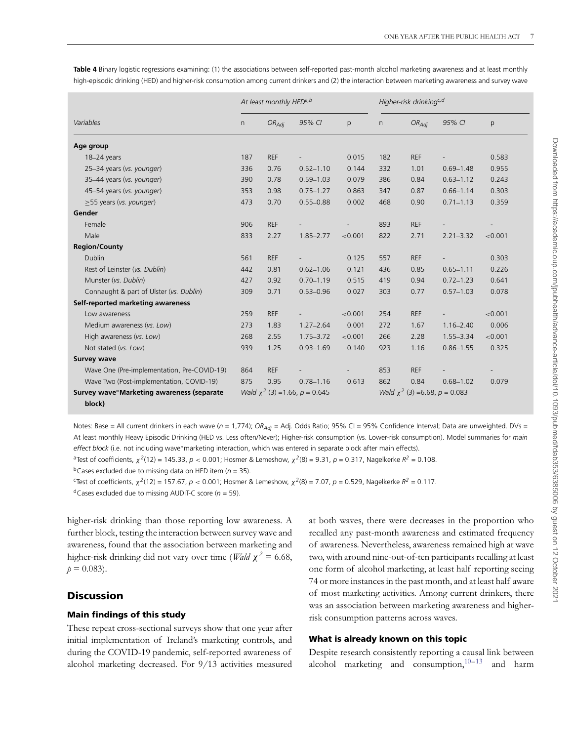|                                             |     | At least monthly HEDa,b |                                     |         | Higher-risk drinkingc,d |                                    |               |         |
|---------------------------------------------|-----|-------------------------|-------------------------------------|---------|-------------------------|------------------------------------|---------------|---------|
| Variables                                   |     | $OR_{Adj}$              | 95% CI                              | p       | n                       | $OR_{Adj}$                         | 95% CI        | p       |
| Age group                                   |     |                         |                                     |         |                         |                                    |               |         |
| 18-24 years                                 | 187 | <b>REF</b>              |                                     | 0.015   | 182                     | <b>REF</b>                         |               | 0.583   |
| 25-34 years (vs. younger)                   | 336 | 0.76                    | $0.52 - 1.10$                       | 0.144   | 332                     | 1.01                               | $0.69 - 1.48$ | 0.955   |
| 35-44 years (vs. younger)                   | 390 | 0.78                    | $0.59 - 1.03$                       | 0.079   | 386                     | 0.84                               | $0.63 - 1.12$ | 0.243   |
| 45-54 years (vs. younger)                   | 353 | 0.98                    | $0.75 - 1.27$                       | 0.863   | 347                     | 0.87                               | $0.66 - 1.14$ | 0.303   |
| $\geq$ 55 years (vs. younger)               | 473 | 0.70                    | $0.55 - 0.88$                       | 0.002   | 468                     | 0.90                               | $0.71 - 1.13$ | 0.359   |
| Gender                                      |     |                         |                                     |         |                         |                                    |               |         |
| Female                                      | 906 | <b>REF</b>              |                                     |         | 893                     | <b>REF</b>                         |               |         |
| Male                                        | 833 | 2.27                    | $1.85 - 2.77$                       | < 0.001 | 822                     | 2.71                               | $2.21 - 3.32$ | < 0.001 |
| <b>Region/County</b>                        |     |                         |                                     |         |                         |                                    |               |         |
| Dublin                                      | 561 | <b>REF</b>              |                                     | 0.125   | 557                     | <b>REF</b>                         |               | 0.303   |
| Rest of Leinster (vs. Dublin)               | 442 | 0.81                    | $0.62 - 1.06$                       | 0.121   | 436                     | 0.85                               | $0.65 - 1.11$ | 0.226   |
| Munster (vs. Dublin)                        | 427 | 0.92                    | $0.70 - 1.19$                       | 0.515   | 419                     | 0.94                               | $0.72 - 1.23$ | 0.641   |
| Connaught & part of Ulster (vs. Dublin)     | 309 | 0.71                    | $0.53 - 0.96$                       | 0.027   | 303                     | 0.77                               | $0.57 - 1.03$ | 0.078   |
| Self-reported marketing awareness           |     |                         |                                     |         |                         |                                    |               |         |
| Low awareness                               | 259 | <b>REF</b>              |                                     | < 0.001 | 254                     | <b>REF</b>                         |               | < 0.001 |
| Medium awareness (vs. Low)                  | 273 | 1.83                    | $1.27 - 2.64$                       | 0.001   | 272                     | 1.67                               | $1.16 - 2.40$ | 0.006   |
| High awareness (vs. Low)                    | 268 | 2.55                    | $1.75 - 3.72$                       | < 0.001 | 266                     | 2.28                               | 1.55-3.34     | < 0.001 |
| Not stated (vs. Low)                        | 939 | 1.25                    | $0.93 - 1.69$                       | 0.140   | 923                     | 1.16                               | $0.86 - 1.55$ | 0.325   |
| <b>Survey wave</b>                          |     |                         |                                     |         |                         |                                    |               |         |
| Wave One (Pre-implementation, Pre-COVID-19) | 864 | <b>REF</b>              |                                     |         | 853                     | <b>REF</b>                         |               |         |
| Wave Two (Post-implementation, COVID-19)    | 875 | 0.95                    | $0.78 - 1.16$                       | 0.613   | 862                     | 0.84                               | $0.68 - 1.02$ | 0.079   |
| Survey wave*Marketing awareness (separate   |     |                         | Wald $\chi^2$ (3) = 1.66, p = 0.645 |         |                         | Wald $\chi^2$ (3) =6.68, p = 0.083 |               |         |
| block)                                      |     |                         |                                     |         |                         |                                    |               |         |

<span id="page-6-0"></span>**Table 4** Binary logistic regressions examining: (1) the associations between self-reported past-month alcohol marketing awareness and at least monthly high-episodic drinking (HED) and higher-risk consumption among current drinkers and (2) the interaction between marketing awareness and survey wave

Notes: Base = All current drinkers in each wave (n = 1,774); *OR<sub>Adi</sub>* = Adj. Odds Ratio; 95% CI = 95% Confidence Interval; Data are unweighted. DVs = At least monthly Heavy Episodic Drinking (HED vs. Less often/Never); Higher-risk consumption (vs. Lower-risk consumption). Model summaries for *main* effect block (i.e. not including wave<sup>∗</sup>marketing interaction, which was entered in separate block after main effects).

 $a$ Test of coefficients,  $\chi^2(12) = 145.33$ ,  $p < 0.001$ ; Hosmer & Lemeshow,  $\chi^2(8) = 9.31$ ,  $p = 0.317$ , Nagelkerke  $R^2 = 0.108$ .

 $b$ Cases excluded due to missing data on HED item ( $n = 35$ ).

<sup>c</sup>Test of coefficients,  $\chi^2(12) = 157.67$ ,  $p < 0.001$ ; Hosmer & Lemeshow,  $\chi^2(8) = 7.07$ ,  $p = 0.529$ , Nagelkerke  $R^2 = 0.117$ .

 $d$ Cases excluded due to missing AUDIT-C score ( $n = 59$ ).

higher-risk drinking than those reporting low awareness. A further block, testing the interaction between survey wave and awareness, found that the association between marketing and higher-risk drinking did not vary over time (*Wald*  $\chi^2 = 6.68$ ,  $p = 0.083$ .

## **Discussion**

#### **Main findings of this study**

These repeat cross-sectional surveys show that one year after initial implementation of Ireland's marketing controls, and during the COVID-19 pandemic, self-reported awareness of alcohol marketing decreased. For 9/13 activities measured

at both waves, there were decreases in the proportion who recalled any past-month awareness and estimated frequency of awareness. Nevertheless, awareness remained high at wave two, with around nine-out-of-ten participants recalling at least one form of alcohol marketing, at least half reporting seeing 74 or more instances in the past month, and at least half aware of most marketing activities. Among current drinkers, there was an association between marketing awareness and higherrisk consumption patterns across waves.

#### **What is already known on this topic**

Despite research consistently reporting a causal link between alcohol marketing and consumption, $10-13$  $10-13$  and harm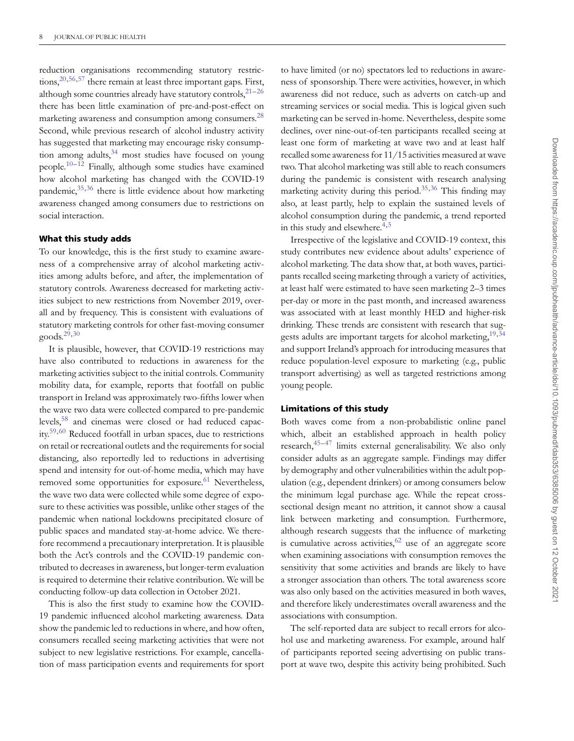reduction organisations recommending statutory restrictions,  $20,56,57$  $20,56,57$  $20,56,57$  there remain at least three important gaps. First, although some countries already have statutory controls, $2^{1-26}$  $2^{1-26}$  $2^{1-26}$ there has been little examination of pre-and-post-effect on marketing awareness and consumption among consumers.<sup>[28](#page-9-10)</sup> Second, while previous research of alcohol industry activity has suggested that marketing may encourage risky consumption among adults,  $34$  most studies have focused on young people[.10–](#page-8-7)[12](#page-8-10) Finally, although some studies have examined how alcohol marketing has changed with the COVID-19 pandemic,  $35,36$  $35,36$  there is little evidence about how marketing awareness changed among consumers due to restrictions on social interaction.

#### **What this study adds**

To our knowledge, this is the first study to examine awareness of a comprehensive array of alcohol marketing activities among adults before, and after, the implementation of statutory controls. Awareness decreased for marketing activities subject to new restrictions from November 2019, overall and by frequency. This is consistent with evaluations of statutory marketing controls for other fast-moving consumer goods. $29,30$  $29,30$ 

It is plausible, however, that COVID-19 restrictions may have also contributed to reductions in awareness for the marketing activities subject to the initial controls. Community mobility data, for example, reports that footfall on public transport in Ireland was approximately two-fifths lower when the wave two data were collected compared to pre-pandemic levels[,58](#page-10-12) and cinemas were closed or had reduced capacity[.59,](#page-10-13)[60](#page-10-14) Reduced footfall in urban spaces, due to restrictions on retail or recreational outlets and the requirements for social distancing, also reportedly led to reductions in advertising spend and intensity for out-of-home media, which may have removed some opportunities for exposure. $61$  Nevertheless, the wave two data were collected while some degree of exposure to these activities was possible, unlike other stages of the pandemic when national lockdowns precipitated closure of public spaces and mandated stay-at-home advice. We therefore recommend a precautionary interpretation. It is plausible both the Act's controls and the COVID-19 pandemic contributed to decreases in awareness, but longer-term evaluation is required to determine their relative contribution. We will be conducting follow-up data collection in October 2021.

This is also the first study to examine how the COVID-19 pandemic influenced alcohol marketing awareness. Data show the pandemic led to reductions in where, and how often, consumers recalled seeing marketing activities that were not subject to new legislative restrictions. For example, cancellation of mass participation events and requirements for sport

to have limited (or no) spectators led to reductions in awareness of sponsorship. There were activities, however, in which awareness did not reduce, such as adverts on catch-up and streaming services or social media. This is logical given such marketing can be served in-home. Nevertheless, despite some declines, over nine-out-of-ten participants recalled seeing at least one form of marketing at wave two and at least half recalled some awareness for 11/15 activities measured at wave two. That alcohol marketing was still able to reach consumers during the pandemic is consistent with research analysing marketing activity during this period.<sup>[35](#page-9-16)[,36](#page-9-17)</sup> This finding may also, at least partly, help to explain the sustained levels of alcohol consumption during the pandemic, a trend reported in this study and elsewhere. $4,5$  $4,5$ 

Irrespective of the legislative and COVID-19 context, this study contributes new evidence about adults' experience of alcohol marketing. The data show that, at both waves, participants recalled seeing marketing through a variety of activities, at least half were estimated to have seen marketing 2–3 times per-day or more in the past month, and increased awareness was associated with at least monthly HED and higher-risk drinking. These trends are consistent with research that sug-gests adults are important targets for alcohol marketing, <sup>[19,](#page-9-3)[34](#page-9-15)</sup> and support Ireland's approach for introducing measures that reduce population-level exposure to marketing (e.g., public transport advertising) as well as targeted restrictions among young people.

#### **Limitations of this study**

Both waves come from a non-probabilistic online panel which, albeit an established approach in health policy research[,45–](#page-10-1)[47](#page-10-2) limits external generalisability. We also only consider adults as an aggregate sample. Findings may differ by demography and other vulnerabilities within the adult population (e.g., dependent drinkers) or among consumers below the minimum legal purchase age. While the repeat crosssectional design meant no attrition, it cannot show a causal link between marketing and consumption. Furthermore, although research suggests that the influence of marketing is cumulative across activities,  $62$  use of an aggregate score when examining associations with consumption removes the sensitivity that some activities and brands are likely to have a stronger association than others. The total awareness score was also only based on the activities measured in both waves, and therefore likely underestimates overall awareness and the associations with consumption.

The self-reported data are subject to recall errors for alcohol use and marketing awareness. For example, around half of participants reported seeing advertising on public transport at wave two, despite this activity being prohibited. Such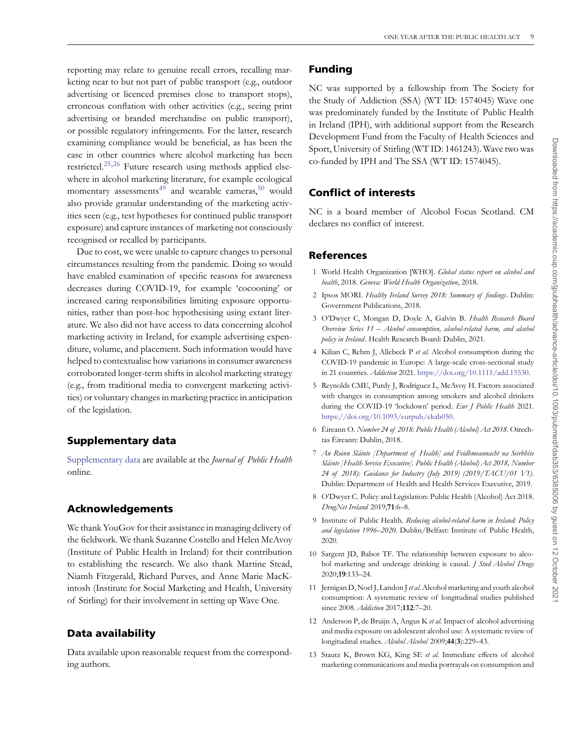reporting may relate to genuine recall errors, recalling marketing near to but not part of public transport (e.g., outdoor advertising or licenced premises close to transport stops), erroneous conflation with other activities (e.g., seeing print advertising or branded merchandise on public transport), or possible regulatory infringements. For the latter, research examining compliance would be beneficial, as has been the case in other countries where alcohol marketing has been restricted[.25,](#page-9-7)[26](#page-9-8) Future research using methods applied elsewhere in alcohol marketing literature, for example ecological momentary assessments<sup>[49](#page-10-17)</sup> and wearable cameras,<sup>50</sup> would also provide granular understanding of the marketing activities seen (e.g., test hypotheses for continued public transport exposure) and capture instances of marketing not consciously recognised or recalled by participants.

Due to cost, we were unable to capture changes to personal circumstances resulting from the pandemic. Doing so would have enabled examination of specific reasons for awareness decreases during COVID-19, for example 'cocooning' or increased caring responsibilities limiting exposure opportunities, rather than post-hoc hypothesising using extant literature. We also did not have access to data concerning alcohol marketing activity in Ireland, for example advertising expenditure, volume, and placement. Such information would have helped to contextualise how variations in consumer awareness corroborated longer-term shifts in alcohol marketing strategy (e.g., from traditional media to convergent marketing activities) or voluntary changes in marketing practice in anticipation of the legislation.

## **Supplementary data**

[Supplementary data](https://academic.oup.com/jpubhealth/article-lookup/doi/10.1093/pubmed/fdab353#supplementary-data) are available at the *Journal of Public Health* online.

## **Acknowledgements**

We thank YouGov for their assistance in managing delivery of the fieldwork. We thank Suzanne Costello and Helen McAvoy (Institute of Public Health in Ireland) for their contribution to establishing the research. We also thank Martine Stead, Niamh Fitzgerald, Richard Purves, and Anne Marie MacKintosh (Institute for Social Marketing and Health, University of Stirling) for their involvement in setting up Wave One.

## **Data availability**

Data available upon reasonable request from the corresponding authors.

## **Funding**

NC was supported by a fellowship from The Society for the Study of Addiction (SSA) (WT ID: 1574045) Wave one was predominately funded by the Institute of Public Health in Ireland (IPH), with additional support from the Research Development Fund from the Faculty of Health Sciences and Sport, University of Stirling (WT ID: 1461243). Wave two was co-funded by IPH and The SSA (WT ID: 1574045).

## **Conflict of interests**

NC is a board member of Alcohol Focus Scotland. CM declares no conflict of interest.

## **References**

- <span id="page-8-0"></span>1 World Health Organization [WHO]. *Global status report on alcohol and health*, 2018. *Geneva: World Health Organization*, 2018.
- <span id="page-8-1"></span>2 Ipsos MORI. *Healthy Ireland Survey 2018: Summary of findings*. Dublin: Government Publications, 2018.
- <span id="page-8-2"></span>3 O'Dwyer C, Mongan D, Doyle A, Galvin B. *Health Research Board Overview Series 11 – Alcohol consumption, alcohol-related harm, and alcohol policy in Ireland* . Health Research Board: Dublin, 2021.
- <span id="page-8-3"></span>4 Kilian C, Rehm J, Allebeck P *et al.* Alcohol consumption during the COVID-19 pandemic in Europe: A large-scale cross-sectional study in 21 countries. *Addiction* 2021. [https://doi.org/10.1111/add.15530.](https://doi.org/https://doi.org/10.1111/add.15530)
- <span id="page-8-4"></span>5 Reynolds CME, Purdy J, Rodriguez L, McAvoy H. Factors associated with changes in consumption among smokers and alcohol drinkers during the COVID-19 'lockdown' period. *Eur J Public Health* 2021. [https://doi.org/10.1093/eurpub/ckab050.](https://doi.org/https://doi.org/10.1093/eurpub/ckab050)
- <span id="page-8-5"></span>6 Éireann O. *Number 24 of 2018: Public Health (Alcohol) Act 2018*. Oirechtas Éireann: Dublin, 2018.
- 7 *An Roinn Sláinte [Department of Health] and Feidhmeannacht na Seirbhíse Sláinte [Health Service Executive]. Public Health (Alcohol) Act 2018, Number 24 of 2018): Guidance for Industry (July 2019) (2019/TACU/01 V1)*. Dublin: Department of Health and Health Services Executive, 2019.
- 8 O'Dwyer C. Policy and Legislation: Public Health (Alcohol) Act 2018. *DrugNet Ireland* 2019;**71**:6–8.
- <span id="page-8-6"></span>9 Institute of Public Health. *Reducing alcohol-related harm in Ireland: Policy and legislation 1996–2020*. Dublin/Belfast: Institute of Public Health, 2020.
- <span id="page-8-7"></span>10 Sargent JD, Babor TF. The relationship between exposure to alcohol marketing and underage drinking is causal. *J Stud Alcohol Drugs* 2020;**19**:133–24.
- <span id="page-8-9"></span>11 Jernigan D, Noel J, Landon J*et al.*Alcohol marketing and youth alcohol consumption: A systematic review of longitudinal studies published since 2008. *Addiction* 2017;**112**:7–20.
- <span id="page-8-10"></span>12 Anderson P, de Bruijn A, Angus K *et al.* Impact of alcohol advertising and media exposure on adolescent alcohol use: A systematic review of longitudinal studies. *Alcohol Alcohol* 2009;**44**(**3**):229–43.
- <span id="page-8-8"></span>13 Stautz K, Brown KG, King SE *et al.* Immediate effects of alcohol marketing communications and media portrayals on consumption and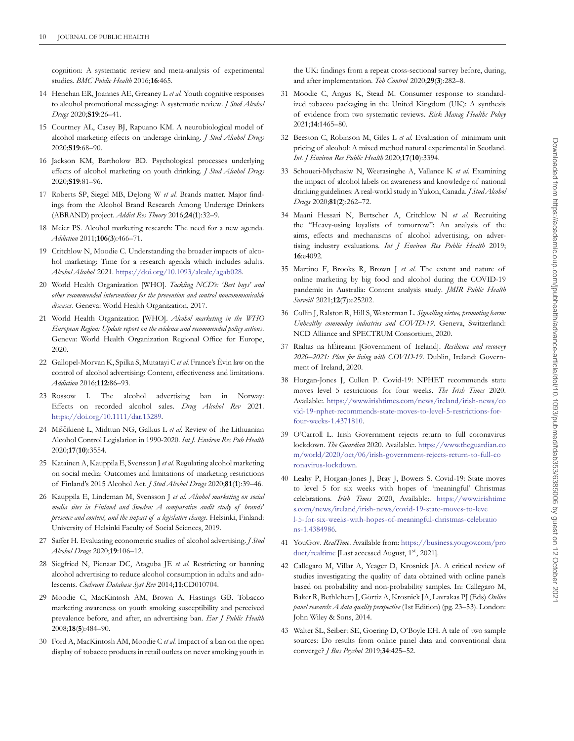cognition: A systematic review and meta-analysis of experimental studies. *BMC Public Health* 2016;**16**:465.

- <span id="page-9-0"></span>14 Henehan ER, Joannes AE, Greaney L *et al.* Youth cognitive responses to alcohol promotional messaging: A systematic review. *J Stud Alcohol Drugs* 2020;**S19**:26–41.
- 15 Courtney AL, Casey BJ, Rapuano KM. A neurobiological model of alcohol marketing effects on underage drinking. *J Stud Alcohol Drugs* 2020;**S19**:68–90.
- 16 Jackson KM, Bartholow BD. Psychological processes underlying effects of alcohol marketing on youth drinking. *J Stud Alcohol Drugs* 2020;**S19**:81–96.
- <span id="page-9-1"></span>17 Roberts SP, Siegel MB, DeJong W *et al.* Brands matter. Major findings from the Alcohol Brand Research Among Underage Drinkers (ABRAND) project. *Addict Res Theory* 2016;**24**(**1**):32–9.
- <span id="page-9-2"></span>18 Meier PS. Alcohol marketing research: The need for a new agenda. *Addiction* 2011;**106**(**3**):466–71.
- <span id="page-9-3"></span>19 Critchlow N, Moodie C. Understanding the broader impacts of alcohol marketing: Time for a research agenda which includes adults. *Alcohol Alcohol* 2021. [https://doi.org/10.1093/alcalc/agab028.](https://doi.org/https://doi.org/10.1093/alcalc/agab028)
- <span id="page-9-4"></span>20 World Health Organization [WHO]. *Tackling NCD's: 'Best buys' and other recommended interventions for the prevention and control noncommunicable diseases*. Geneva: World Health Organization, 2017.
- <span id="page-9-5"></span>21 World Health Organization [WHO]. *Alcohol marketing in the WHO European Region: Update report on the evidence and recommended policy actions*. Geneva: World Health Organization Regional Office for Europe, 2020.
- 22 Gallopel-Morvan K, Spilka S, Mutatayi C *et al.* France's Évin law on the control of alcohol advertising: Content, effectiveness and limitations. *Addiction* 2016;**112**:86–93.
- 23 Rossow I. The alcohol advertising ban in Norway: Effects on recorded alcohol sales. *Drug Alcohol Rev* 2021. [https://doi.org/10.1111/dar.13289.](https://doi.org/https://doi.org/10.1111/dar.13289)
- <span id="page-9-6"></span>24 Miscikienė L, Midttun NG, Galkus L et al. Review of the Lithuanian Alcohol Control Legislation in 1990-2020. *Int J. Environ Res Pub Health* 2020;**17**(**10**):3554.
- <span id="page-9-7"></span>25 Katainen A, Kauppila E, Svensson J *et al.* Regulating alcohol marketing on social media: Outcomes and limitations of marketing restrictions of Finland's 2015 Alcohol Act. *J Stud Alcohol Drugs* 2020;**81**(**1**):39–46.
- <span id="page-9-8"></span>26 Kauppila E, Lindeman M, Svensson J *et al. Alcohol marketing on social media sites in Finland and Sweden: A comparative audit study of brands' presence and content, and the impact of a legislative change*. Helsinki, Finland: University of Helsinki Faculty of Social Sciences, 2019.
- <span id="page-9-9"></span>27 Saffer H. Evaluating econometric studies of alcohol advertising. *J Stud Alcohol Drugs* 2020;**19**:106–12.
- <span id="page-9-10"></span>28 Siegfried N, Pienaar DC, Ataguba JE *et al.* Restricting or banning alcohol advertising to reduce alcohol consumption in adults and adolescents. *Cochrane Database Syst Rev* 2014;**11**:CD010704.
- <span id="page-9-11"></span>29 Moodie C, MacKintosh AM, Brown A, Hastings GB. Tobacco marketing awareness on youth smoking susceptibility and perceived prevalence before, and after, an advertising ban. *Eur J Public Health* 2008;**18**(**5**):484–90.
- <span id="page-9-24"></span>30 Ford A, MacKintosh AM, Moodie C *et al.* Impact of a ban on the open display of tobacco products in retail outlets on never smoking youth in

the UK: findings from a repeat cross-sectional survey before, during, and after implementation. *Tob Control* 2020;**29**(**3**):282–8.

- <span id="page-9-12"></span>31 Moodie C, Angus K, Stead M. Consumer response to standardized tobacco packaging in the United Kingdom (UK): A synthesis of evidence from two systematic reviews. *Risk Manag Healthc Policy* 2021;**14**:1465–80.
- <span id="page-9-13"></span>32 Beeston C, Robinson M, Giles L *et al.* Evaluation of minimum unit pricing of alcohol: A mixed method natural experimental in Scotland. *Int. J Environ Res Public Health* 2020;**17**(**10**):3394.
- <span id="page-9-14"></span>33 Schoueri-Mychasiw N, Weerasinghe A, Vallance K *et al.* Examining the impact of alcohol labels on awareness and knowledge of national drinking guidelines: A real-world study in Yukon, Canada. *J Stud Alcohol Drugs* 2020;**81**(**2**):262–72.
- <span id="page-9-15"></span>34 Maani Hessari N, Bertscher A, Critchlow N *et al.* Recruiting the "Heavy-using loyalists of tomorrow": An analysis of the aims, effects and mechanisms of alcohol advertising, on advertising industry evaluations. *Int J Environ Res Public Health* 2019; **16**:e4092.
- <span id="page-9-16"></span>35 Martino F, Brooks R, Brown J *et al.* The extent and nature of online marketing by big food and alcohol during the COVID-19 pandemic in Australia: Content analysis study. *JMIR Public Health Surveill* 2021;**12**(**7**):e25202.
- <span id="page-9-17"></span>36 Collin J, Ralston R, Hill S, Westerman L. *Signalling virtue, promoting harm: Unhealthy commodity industries and COVID-19*. Geneva, Switzerland: NCD Alliance and SPECTRUM Consortium, 2020.
- <span id="page-9-18"></span>37 Rialtas na hÉireann [Government of Ireland]. *Resilience and recovery 2020–2021: Plan for living with COVID-19*. Dublin, Ireland: Government of Ireland, 2020.
- <span id="page-9-19"></span>38 Horgan-Jones J, Cullen P. Covid-19: NPHET recommends state moves level 5 restrictions for four weeks. *The Irish Times* 2020. Available:. [https://www.irishtimes.com/news/ireland/irish-news/co](https://www.irishtimes.com/news/ireland/irish-news/covid-19-nphet-recommends-state-moves-to-level-5-restrictions-for-four-weeks-1.4371810) [vid-19-nphet-recommends-state-moves-to-level-5-restrictions-for](https://www.irishtimes.com/news/ireland/irish-news/covid-19-nphet-recommends-state-moves-to-level-5-restrictions-for-four-weeks-1.4371810)[four-weeks-1.4371810.](https://www.irishtimes.com/news/ireland/irish-news/covid-19-nphet-recommends-state-moves-to-level-5-restrictions-for-four-weeks-1.4371810)
- <span id="page-9-20"></span>39 O'Carroll L. Irish Government rejects return to full coronavirus lockdown. *The Guardian* 2020. Available:. [https://www.theguardian.co](https://www.theguardian.com/world/2020/oct/06/irish-government-rejects-return-to-full-coronavirus-lockdown) [m/world/2020/oct/06/irish-government-rejects-return-to-full-co](https://www.theguardian.com/world/2020/oct/06/irish-government-rejects-return-to-full-coronavirus-lockdown) [ronavirus-lockdown.](https://www.theguardian.com/world/2020/oct/06/irish-government-rejects-return-to-full-coronavirus-lockdown)
- <span id="page-9-21"></span>40 Leahy P, Horgan-Jones J, Bray J, Bowers S. Covid-19: State moves to level 5 for six weeks with hopes of 'meaningful' Christmas celebrations. *Irish Times* 2020, Available:. [https://www.irishtime](https://www.irishtimes.com/news/ireland/irish-news/covid-19-state-moves-to-level-5-for-six-weeks-with-hopes-of-meaningful-christmas-celebrations-1.4384986) [s.com/news/ireland/irish-news/covid-19-state-moves-to-leve](https://www.irishtimes.com/news/ireland/irish-news/covid-19-state-moves-to-level-5-for-six-weeks-with-hopes-of-meaningful-christmas-celebrations-1.4384986) [l-5-for-six-weeks-with-hopes-of-meaningful-christmas-celebratio](https://www.irishtimes.com/news/ireland/irish-news/covid-19-state-moves-to-level-5-for-six-weeks-with-hopes-of-meaningful-christmas-celebrations-1.4384986) [ns-1.4384986.](https://www.irishtimes.com/news/ireland/irish-news/covid-19-state-moves-to-level-5-for-six-weeks-with-hopes-of-meaningful-christmas-celebrations-1.4384986)
- <span id="page-9-22"></span>41 YouGov. *RealTime*. Available from: [https://business.yougov.com/pro](https://business.yougov.com/product/realtime) [duct/realtime](https://business.yougov.com/product/realtime) [Last accessed August, 1<sup>st</sup>, 2021].
- <span id="page-9-23"></span>42 Callegaro M, Villar A, Yeager D, Krosnick JA. A critical review of studies investigating the quality of data obtained with online panels based on probability and non-probability samples. In: Callegaro M, Baker R, Bethlehem J, Görtiz A, Krosnick JA, Lavrakas PJ (Eds)*Online panel research: A data quality perspective* (1st Edition) (pg. 23–53). London: John Wiley & Sons, 2014.
- 43 Walter SL, Seibert SE, Goering D, O'Boyle EH. A tale of two sample sources: Do results from online panel data and conventional data converge? *J Bus Psychol* 2019;**34**:425–52.